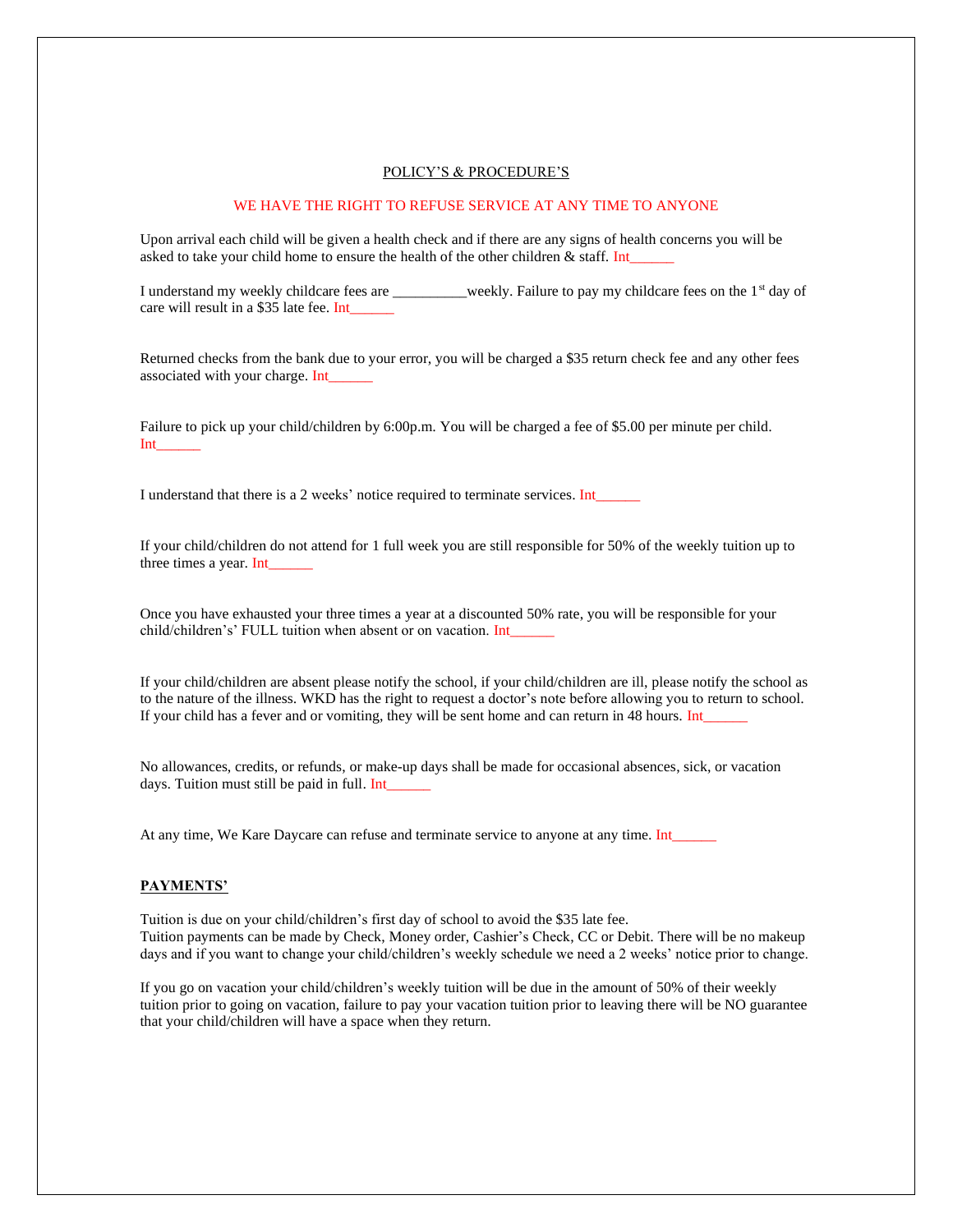#### POLICY'S & PROCEDURE'S

# WE HAVE THE RIGHT TO REFUSE SERVICE AT ANY TIME TO ANYONE

Upon arrival each child will be given a health check and if there are any signs of health concerns you will be asked to take your child home to ensure the health of the other children  $\&$  staff. Int\_

I understand my weekly childcare fees are \_\_\_\_\_\_\_\_\_\_weekly. Failure to pay my childcare fees on the 1<sup>st</sup> day of care will result in a \$35 late fee. Int

Returned checks from the bank due to your error, you will be charged a \$35 return check fee and any other fees associated with your charge. Int\_\_\_\_\_\_

Failure to pick up your child/children by 6:00p.m. You will be charged a fee of \$5.00 per minute per child. Int\_\_\_\_\_\_

I understand that there is a 2 weeks' notice required to terminate services. Int\_

If your child/children do not attend for 1 full week you are still responsible for 50% of the weekly tuition up to three times a year. Int\_\_\_\_\_\_

Once you have exhausted your three times a year at a discounted 50% rate, you will be responsible for your child/children's' FULL tuition when absent or on vacation. Int\_\_\_\_\_\_

If your child/children are absent please notify the school, if your child/children are ill, please notify the school as to the nature of the illness. WKD has the right to request a doctor's note before allowing you to return to school. If your child has a fever and or vomiting, they will be sent home and can return in 48 hours. Int\_

No allowances, credits, or refunds, or make-up days shall be made for occasional absences, sick, or vacation days. Tuition must still be paid in full. Int

At any time, We Kare Daycare can refuse and terminate service to anyone at any time. Int\_\_\_\_\_\_

#### **PAYMENTS'**

Tuition is due on your child/children's first day of school to avoid the \$35 late fee. Tuition payments can be made by Check, Money order, Cashier's Check, CC or Debit. There will be no makeup days and if you want to change your child/children's weekly schedule we need a 2 weeks' notice prior to change.

If you go on vacation your child/children's weekly tuition will be due in the amount of 50% of their weekly tuition prior to going on vacation, failure to pay your vacation tuition prior to leaving there will be NO guarantee that your child/children will have a space when they return.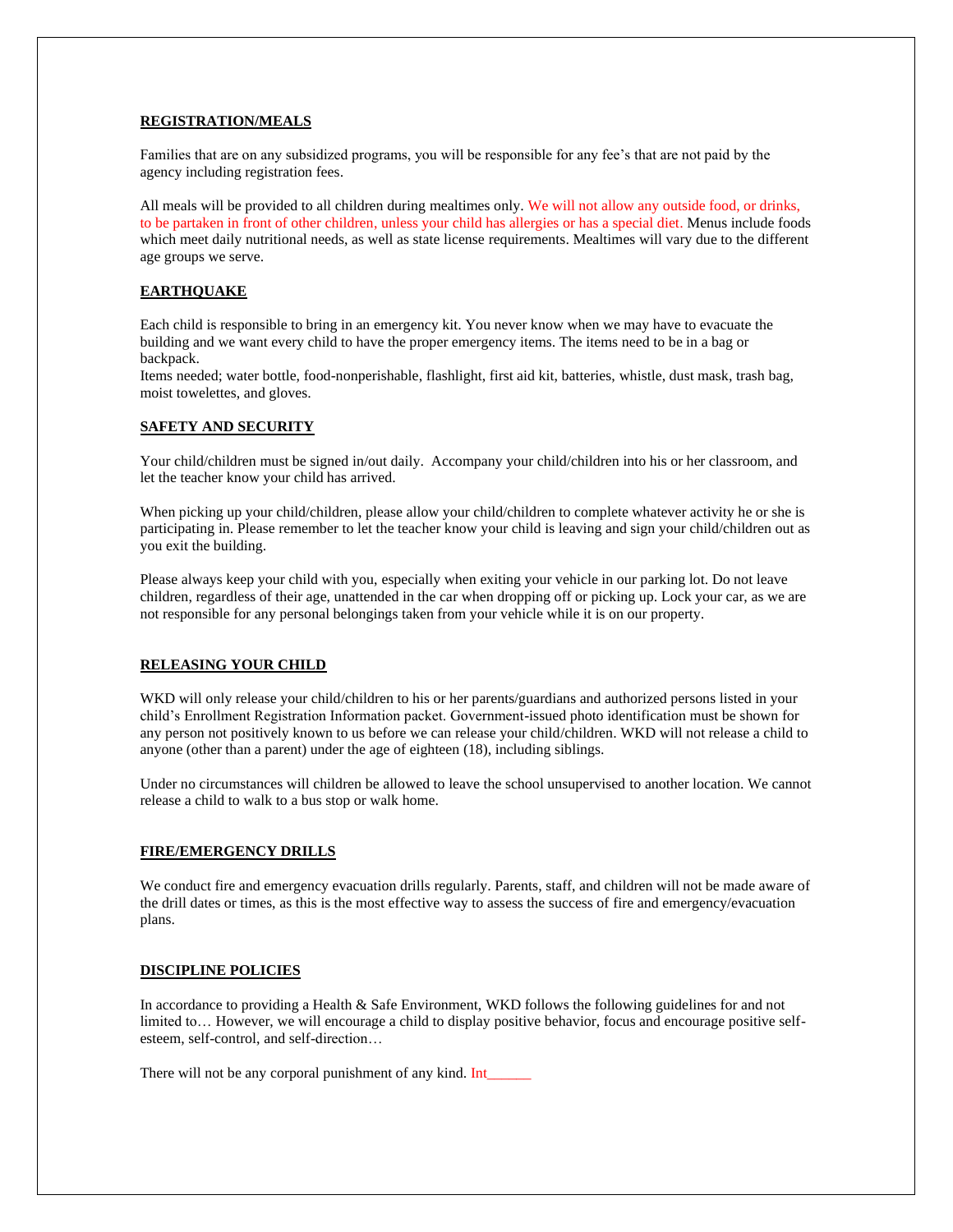# **REGISTRATION/MEALS**

Families that are on any subsidized programs, you will be responsible for any fee's that are not paid by the agency including registration fees.

All meals will be provided to all children during mealtimes only. We will not allow any outside food, or drinks, to be partaken in front of other children, unless your child has allergies or has a special diet. Menus include foods which meet daily nutritional needs, as well as state license requirements. Mealtimes will vary due to the different age groups we serve.

# **EARTHQUAKE**

Each child is responsible to bring in an emergency kit. You never know when we may have to evacuate the building and we want every child to have the proper emergency items. The items need to be in a bag or backpack.

Items needed; water bottle, food-nonperishable, flashlight, first aid kit, batteries, whistle, dust mask, trash bag, moist towelettes, and gloves.

# **SAFETY AND SECURITY**

Your child/children must be signed in/out daily. Accompany your child/children into his or her classroom, and let the teacher know your child has arrived.

When picking up your child/children, please allow your child/children to complete whatever activity he or she is participating in. Please remember to let the teacher know your child is leaving and sign your child/children out as you exit the building.

Please always keep your child with you, especially when exiting your vehicle in our parking lot. Do not leave children, regardless of their age, unattended in the car when dropping off or picking up. Lock your car, as we are not responsible for any personal belongings taken from your vehicle while it is on our property.

### **RELEASING YOUR CHILD**

WKD will only release your child/children to his or her parents/guardians and authorized persons listed in your child's Enrollment Registration Information packet. Government-issued photo identification must be shown for any person not positively known to us before we can release your child/children. WKD will not release a child to anyone (other than a parent) under the age of eighteen (18), including siblings.

Under no circumstances will children be allowed to leave the school unsupervised to another location. We cannot release a child to walk to a bus stop or walk home.

### **FIRE/EMERGENCY DRILLS**

We conduct fire and emergency evacuation drills regularly. Parents, staff, and children will not be made aware of the drill dates or times, as this is the most effective way to assess the success of fire and emergency/evacuation plans.

### **DISCIPLINE POLICIES**

In accordance to providing a Health & Safe Environment, WKD follows the following guidelines for and not limited to… However, we will encourage a child to display positive behavior, focus and encourage positive selfesteem, self-control, and self-direction…

There will not be any corporal punishment of any kind. Int\_\_\_\_\_\_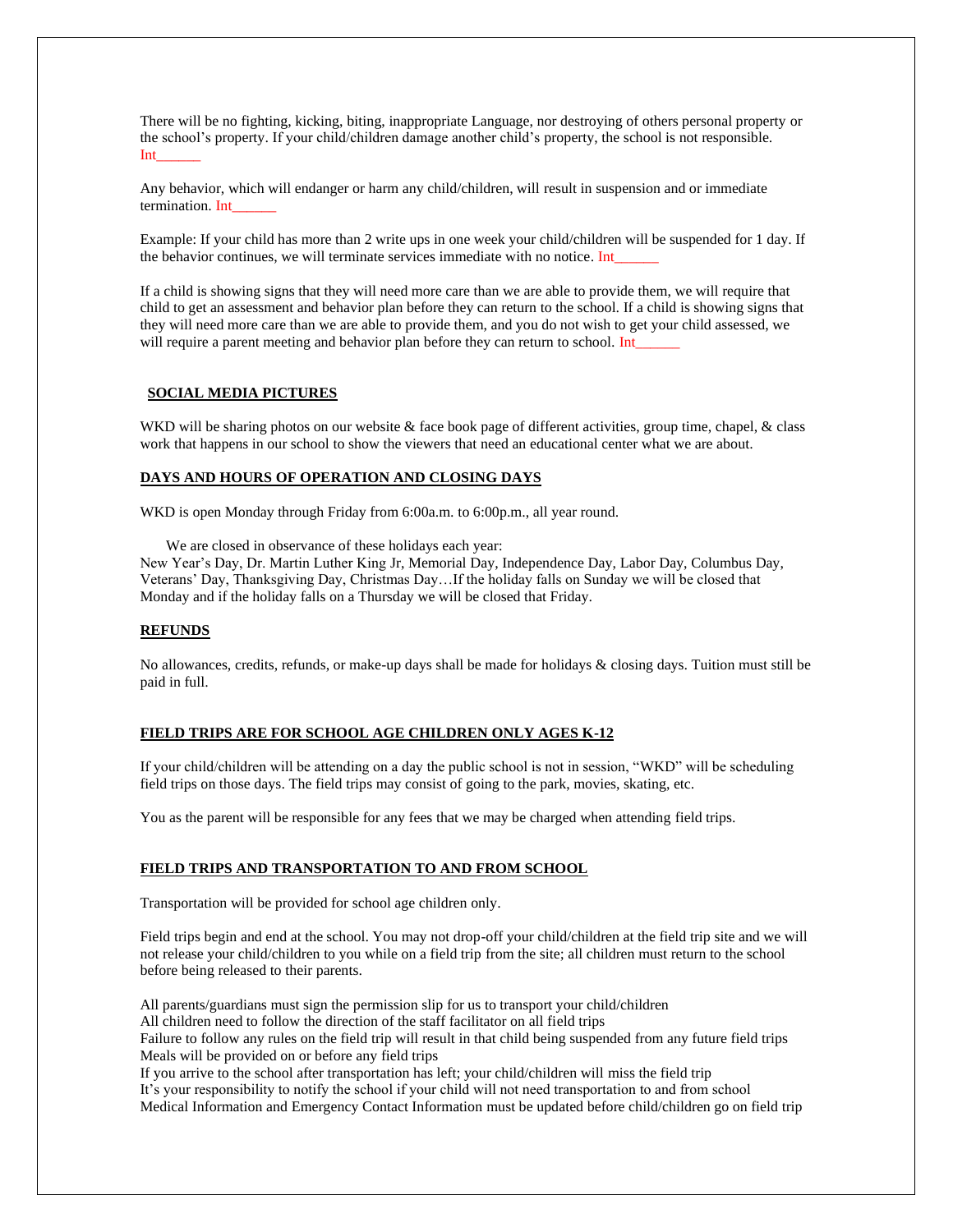There will be no fighting, kicking, biting, inappropriate Language, nor destroying of others personal property or the school's property. If your child/children damage another child's property, the school is not responsible. Int\_\_\_\_\_\_

Any behavior, which will endanger or harm any child/children, will result in suspension and or immediate termination. Int

Example: If your child has more than 2 write ups in one week your child/children will be suspended for 1 day. If the behavior continues, we will terminate services immediate with no notice. Int\_

If a child is showing signs that they will need more care than we are able to provide them, we will require that child to get an assessment and behavior plan before they can return to the school. If a child is showing signs that they will need more care than we are able to provide them, and you do not wish to get your child assessed, we will require a parent meeting and behavior plan before they can return to school. Int\_

### **SOCIAL MEDIA PICTURES**

WKD will be sharing photos on our website & face book page of different activities, group time, chapel, & class work that happens in our school to show the viewers that need an educational center what we are about.

# **DAYS AND HOURS OF OPERATION AND CLOSING DAYS**

WKD is open Monday through Friday from 6:00a.m. to 6:00p.m., all year round.

We are closed in observance of these holidays each year:

New Year's Day, Dr. Martin Luther King Jr, Memorial Day, Independence Day, Labor Day, Columbus Day, Veterans' Day, Thanksgiving Day, Christmas Day…If the holiday falls on Sunday we will be closed that Monday and if the holiday falls on a Thursday we will be closed that Friday.

#### **REFUNDS**

No allowances, credits, refunds, or make-up days shall be made for holidays  $\&$  closing days. Tuition must still be paid in full.

#### **FIELD TRIPS ARE FOR SCHOOL AGE CHILDREN ONLY AGES K-12**

If your child/children will be attending on a day the public school is not in session, "WKD" will be scheduling field trips on those days. The field trips may consist of going to the park, movies, skating, etc.

You as the parent will be responsible for any fees that we may be charged when attending field trips.

#### **FIELD TRIPS AND TRANSPORTATION TO AND FROM SCHOOL**

Transportation will be provided for school age children only.

Field trips begin and end at the school. You may not drop-off your child/children at the field trip site and we will not release your child/children to you while on a field trip from the site; all children must return to the school before being released to their parents.

All parents/guardians must sign the permission slip for us to transport your child/children All children need to follow the direction of the staff facilitator on all field trips Failure to follow any rules on the field trip will result in that child being suspended from any future field trips Meals will be provided on or before any field trips If you arrive to the school after transportation has left; your child/children will miss the field trip

It's your responsibility to notify the school if your child will not need transportation to and from school Medical Information and Emergency Contact Information must be updated before child/children go on field trip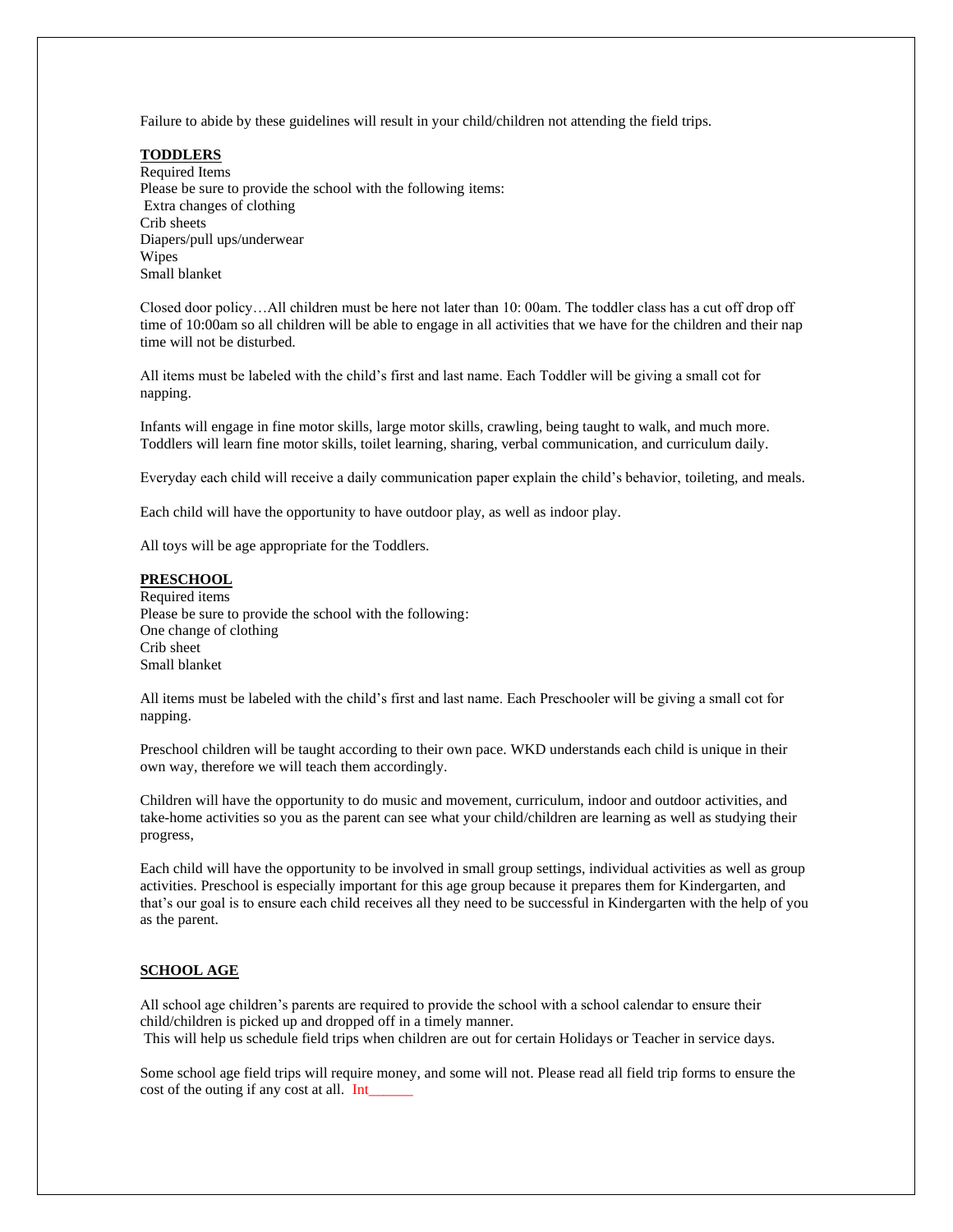Failure to abide by these guidelines will result in your child/children not attending the field trips.

**TODDLERS** Required Items Please be sure to provide the school with the following items: Extra changes of clothing Crib sheets Diapers/pull ups/underwear Wipes Small blanket

Closed door policy…All children must be here not later than 10: 00am. The toddler class has a cut off drop off time of 10:00am so all children will be able to engage in all activities that we have for the children and their nap time will not be disturbed.

All items must be labeled with the child's first and last name. Each Toddler will be giving a small cot for napping.

Infants will engage in fine motor skills, large motor skills, crawling, being taught to walk, and much more. Toddlers will learn fine motor skills, toilet learning, sharing, verbal communication, and curriculum daily.

Everyday each child will receive a daily communication paper explain the child's behavior, toileting, and meals.

Each child will have the opportunity to have outdoor play, as well as indoor play.

All toys will be age appropriate for the Toddlers.

### **PRESCHOOL**

Required items Please be sure to provide the school with the following: One change of clothing Crib sheet Small blanket

All items must be labeled with the child's first and last name. Each Preschooler will be giving a small cot for napping.

Preschool children will be taught according to their own pace. WKD understands each child is unique in their own way, therefore we will teach them accordingly.

Children will have the opportunity to do music and movement, curriculum, indoor and outdoor activities, and take-home activities so you as the parent can see what your child/children are learning as well as studying their progress,

Each child will have the opportunity to be involved in small group settings, individual activities as well as group activities. Preschool is especially important for this age group because it prepares them for Kindergarten, and that's our goal is to ensure each child receives all they need to be successful in Kindergarten with the help of you as the parent.

### **SCHOOL AGE**

All school age children's parents are required to provide the school with a school calendar to ensure their child/children is picked up and dropped off in a timely manner. This will help us schedule field trips when children are out for certain Holidays or Teacher in service days.

Some school age field trips will require money, and some will not. Please read all field trip forms to ensure the cost of the outing if any cost at all. Int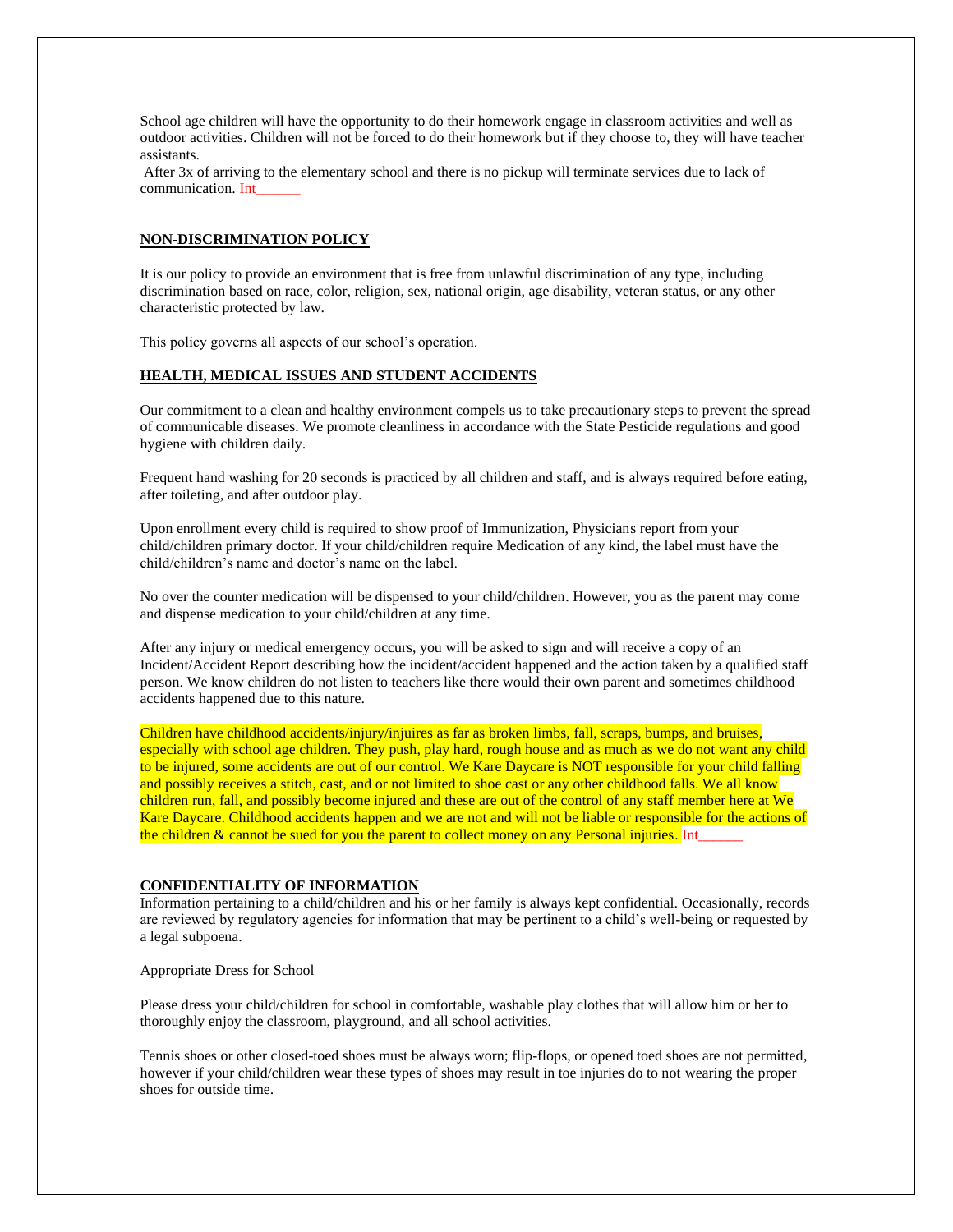School age children will have the opportunity to do their homework engage in classroom activities and well as outdoor activities. Children will not be forced to do their homework but if they choose to, they will have teacher assistants.

After 3x of arriving to the elementary school and there is no pickup will terminate services due to lack of communication. Int

### **NON-DISCRIMINATION POLICY**

It is our policy to provide an environment that is free from unlawful discrimination of any type, including discrimination based on race, color, religion, sex, national origin, age disability, veteran status, or any other characteristic protected by law.

This policy governs all aspects of our school's operation.

### **HEALTH, MEDICAL ISSUES AND STUDENT ACCIDENTS**

Our commitment to a clean and healthy environment compels us to take precautionary steps to prevent the spread of communicable diseases. We promote cleanliness in accordance with the State Pesticide regulations and good hygiene with children daily.

Frequent hand washing for 20 seconds is practiced by all children and staff, and is always required before eating, after toileting, and after outdoor play.

Upon enrollment every child is required to show proof of Immunization, Physicians report from your child/children primary doctor. If your child/children require Medication of any kind, the label must have the child/children's name and doctor's name on the label.

No over the counter medication will be dispensed to your child/children. However, you as the parent may come and dispense medication to your child/children at any time.

After any injury or medical emergency occurs, you will be asked to sign and will receive a copy of an Incident/Accident Report describing how the incident/accident happened and the action taken by a qualified staff person. We know children do not listen to teachers like there would their own parent and sometimes childhood accidents happened due to this nature.

Children have childhood accidents/injury/injuires as far as broken limbs, fall, scraps, bumps, and bruises, especially with school age children. They push, play hard, rough house and as much as we do not want any child to be injured, some accidents are out of our control. We Kare Daycare is NOT responsible for your child falling and possibly receives a stitch, cast, and or not limited to shoe cast or any other childhood falls. We all know children run, fall, and possibly become injured and these are out of the control of any staff member here at We Kare Daycare. Childhood accidents happen and we are not and will not be liable or responsible for the actions of the children  $&$  cannot be sued for you the parent to collect money on any Personal injuries. Int

# **CONFIDENTIALITY OF INFORMATION**

Information pertaining to a child/children and his or her family is always kept confidential. Occasionally, records are reviewed by regulatory agencies for information that may be pertinent to a child's well-being or requested by a legal subpoena.

Appropriate Dress for School

Please dress your child/children for school in comfortable, washable play clothes that will allow him or her to thoroughly enjoy the classroom, playground, and all school activities.

Tennis shoes or other closed-toed shoes must be always worn; flip-flops, or opened toed shoes are not permitted, however if your child/children wear these types of shoes may result in toe injuries do to not wearing the proper shoes for outside time.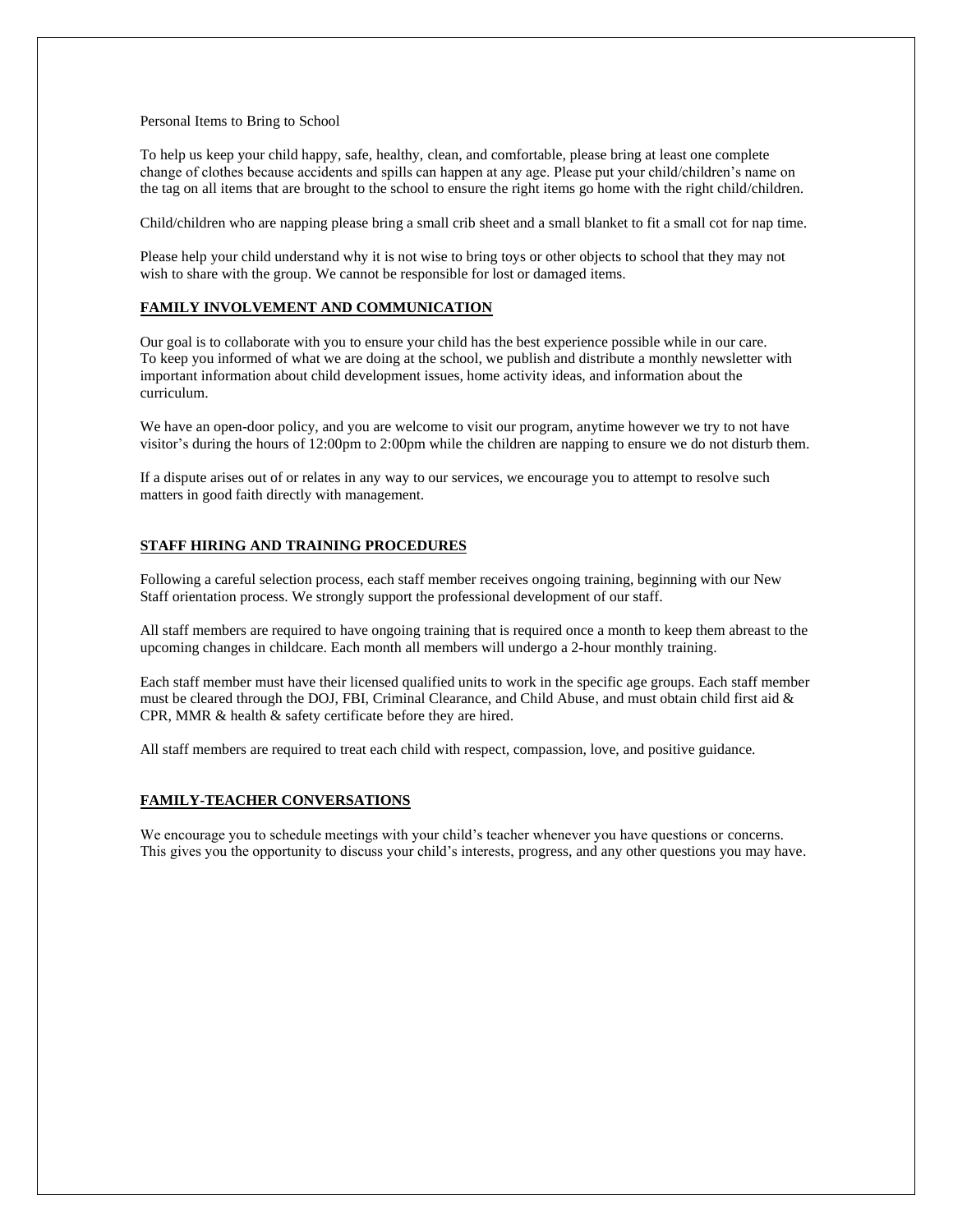#### Personal Items to Bring to School

To help us keep your child happy, safe, healthy, clean, and comfortable, please bring at least one complete change of clothes because accidents and spills can happen at any age. Please put your child/children's name on the tag on all items that are brought to the school to ensure the right items go home with the right child/children.

Child/children who are napping please bring a small crib sheet and a small blanket to fit a small cot for nap time.

Please help your child understand why it is not wise to bring toys or other objects to school that they may not wish to share with the group. We cannot be responsible for lost or damaged items.

### **FAMILY INVOLVEMENT AND COMMUNICATION**

Our goal is to collaborate with you to ensure your child has the best experience possible while in our care. To keep you informed of what we are doing at the school, we publish and distribute a monthly newsletter with important information about child development issues, home activity ideas, and information about the curriculum.

We have an open-door policy, and you are welcome to visit our program, anytime however we try to not have visitor's during the hours of 12:00pm to 2:00pm while the children are napping to ensure we do not disturb them.

If a dispute arises out of or relates in any way to our services, we encourage you to attempt to resolve such matters in good faith directly with management.

### **STAFF HIRING AND TRAINING PROCEDURES**

Following a careful selection process, each staff member receives ongoing training, beginning with our New Staff orientation process. We strongly support the professional development of our staff.

All staff members are required to have ongoing training that is required once a month to keep them abreast to the upcoming changes in childcare. Each month all members will undergo a 2-hour monthly training.

Each staff member must have their licensed qualified units to work in the specific age groups. Each staff member must be cleared through the DOJ, FBI, Criminal Clearance, and Child Abuse, and must obtain child first aid & CPR, MMR & health & safety certificate before they are hired.

All staff members are required to treat each child with respect, compassion, love, and positive guidance.

#### **FAMILY-TEACHER CONVERSATIONS**

We encourage you to schedule meetings with your child's teacher whenever you have questions or concerns. This gives you the opportunity to discuss your child's interests, progress, and any other questions you may have.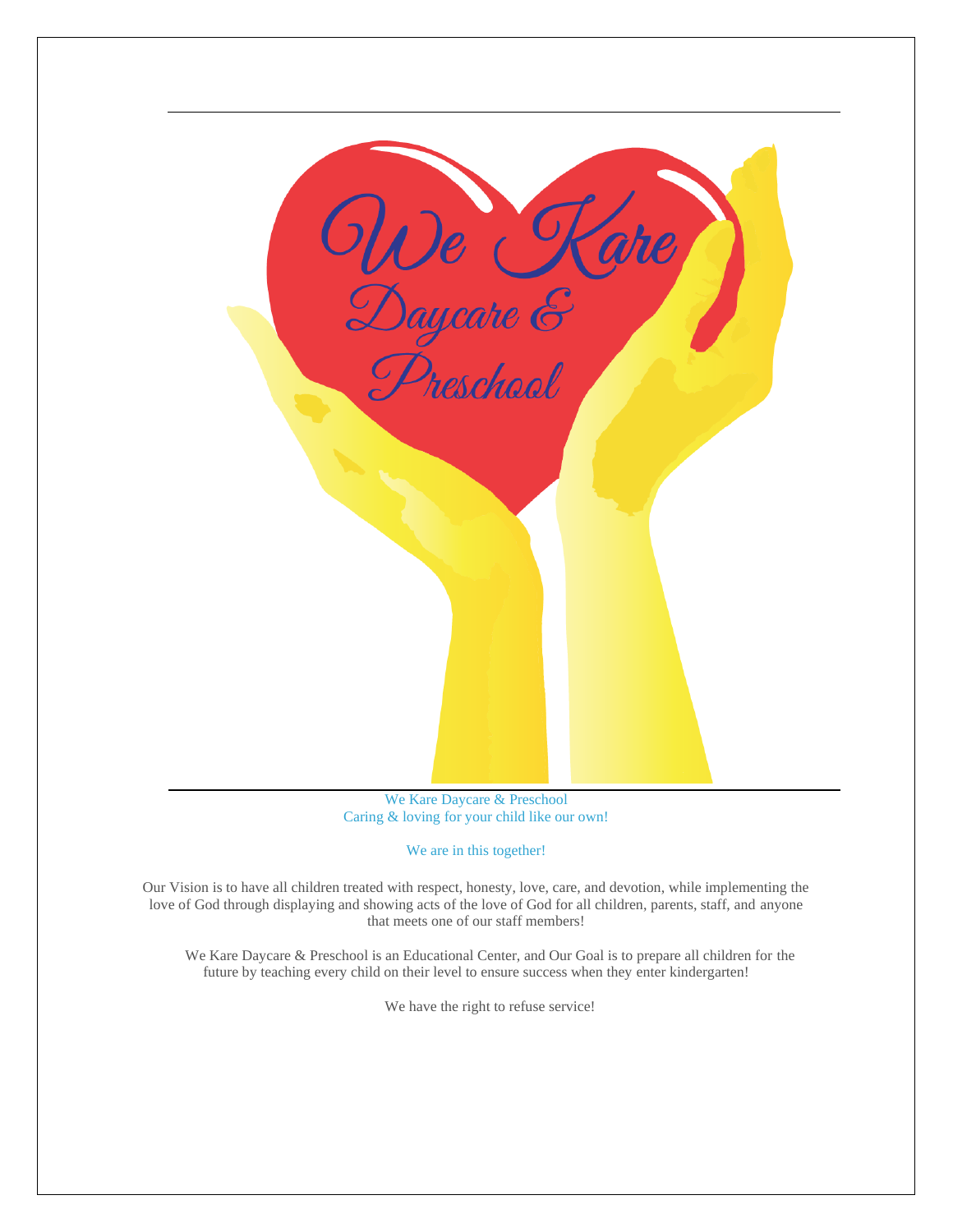| We Kare<br>Daycare &<br>Preschool |
|-----------------------------------|
|                                   |
|                                   |
|                                   |
|                                   |
|                                   |
|                                   |
|                                   |

We Kare Daycare & Preschool Caring & loving for your child like our own!

# We are in this together!

Our Vision is to have all children treated with respect, honesty, love, care, and devotion, while implementing the love of God through displaying and showing acts of the love of God for all children, parents, staff, and anyone that meets one of our staff members!

We Kare Daycare & Preschool is an Educational Center, and Our Goal is to prepare all children for the future by teaching every child on their level to ensure success when they enter kindergarten!

We have the right to refuse service!